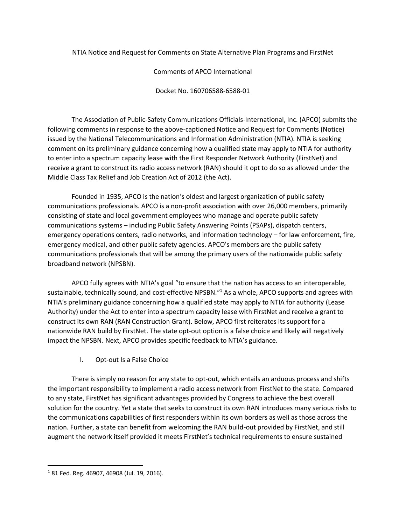NTIA Notice and Request for Comments on State Alternative Plan Programs and FirstNet

Comments of APCO International

Docket No. 160706588-6588-01

The Association of Public-Safety Communications Officials-International, Inc. (APCO) submits the following comments in response to the above-captioned Notice and Request for Comments (Notice) issued by the National Telecommunications and Information Administration (NTIA). NTIA is seeking comment on its preliminary guidance concerning how a qualified state may apply to NTIA for authority to enter into a spectrum capacity lease with the First Responder Network Authority (FirstNet) and receive a grant to construct its radio access network (RAN) should it opt to do so as allowed under the Middle Class Tax Relief and Job Creation Act of 2012 (the Act).

Founded in 1935, APCO is the nation's oldest and largest organization of public safety communications professionals. APCO is a non-profit association with over 26,000 members, primarily consisting of state and local government employees who manage and operate public safety communications systems – including Public Safety Answering Points (PSAPs), dispatch centers, emergency operations centers, radio networks, and information technology – for law enforcement, fire, emergency medical, and other public safety agencies. APCO's members are the public safety communications professionals that will be among the primary users of the nationwide public safety broadband network (NPSBN).

APCO fully agrees with NTIA's goal "to ensure that the nation has access to an interoperable, sustainable, technically sound, and cost-effective NPSBN."<sup>1</sup> As a whole, APCO supports and agrees with NTIA's preliminary guidance concerning how a qualified state may apply to NTIA for authority (Lease Authority) under the Act to enter into a spectrum capacity lease with FirstNet and receive a grant to construct its own RAN (RAN Construction Grant). Below, APCO first reiterates its support for a nationwide RAN build by FirstNet. The state opt-out option is a false choice and likely will negatively impact the NPSBN. Next, APCO provides specific feedback to NTIA's guidance.

I. Opt-out Is a False Choice

There is simply no reason for any state to opt-out, which entails an arduous process and shifts the important responsibility to implement a radio access network from FirstNet to the state. Compared to any state, FirstNet has significant advantages provided by Congress to achieve the best overall solution for the country. Yet a state that seeks to construct its own RAN introduces many serious risks to the communications capabilities of first responders within its own borders as well as those across the nation. Further, a state can benefit from welcoming the RAN build-out provided by FirstNet, and still augment the network itself provided it meets FirstNet's technical requirements to ensure sustained

 $\overline{\phantom{a}}$ 

 $1$  81 Fed. Reg. 46907, 46908 (Jul. 19, 2016).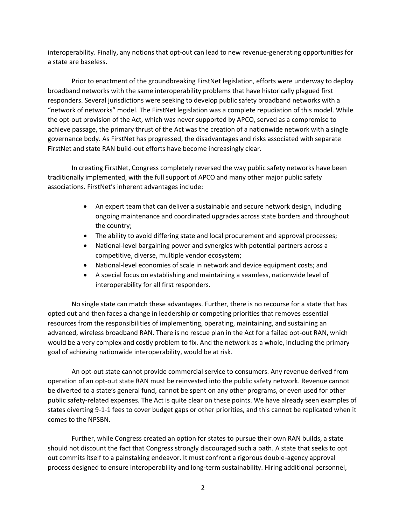interoperability. Finally, any notions that opt-out can lead to new revenue-generating opportunities for a state are baseless.

Prior to enactment of the groundbreaking FirstNet legislation, efforts were underway to deploy broadband networks with the same interoperability problems that have historically plagued first responders. Several jurisdictions were seeking to develop public safety broadband networks with a "network of networks" model. The FirstNet legislation was a complete repudiation of this model. While the opt-out provision of the Act, which was never supported by APCO, served as a compromise to achieve passage, the primary thrust of the Act was the creation of a nationwide network with a single governance body. As FirstNet has progressed, the disadvantages and risks associated with separate FirstNet and state RAN build-out efforts have become increasingly clear.

In creating FirstNet, Congress completely reversed the way public safety networks have been traditionally implemented, with the full support of APCO and many other major public safety associations. FirstNet's inherent advantages include:

- An expert team that can deliver a sustainable and secure network design, including ongoing maintenance and coordinated upgrades across state borders and throughout the country;
- The ability to avoid differing state and local procurement and approval processes;
- National-level bargaining power and synergies with potential partners across a competitive, diverse, multiple vendor ecosystem;
- National-level economies of scale in network and device equipment costs; and
- A special focus on establishing and maintaining a seamless, nationwide level of interoperability for all first responders.

No single state can match these advantages. Further, there is no recourse for a state that has opted out and then faces a change in leadership or competing priorities that removes essential resources from the responsibilities of implementing, operating, maintaining, and sustaining an advanced, wireless broadband RAN. There is no rescue plan in the Act for a failed opt-out RAN, which would be a very complex and costly problem to fix. And the network as a whole, including the primary goal of achieving nationwide interoperability, would be at risk.

An opt-out state cannot provide commercial service to consumers. Any revenue derived from operation of an opt-out state RAN must be reinvested into the public safety network. Revenue cannot be diverted to a state's general fund, cannot be spent on any other programs, or even used for other public safety-related expenses. The Act is quite clear on these points. We have already seen examples of states diverting 9-1-1 fees to cover budget gaps or other priorities, and this cannot be replicated when it comes to the NPSBN.

Further, while Congress created an option for states to pursue their own RAN builds, a state should not discount the fact that Congress strongly discouraged such a path. A state that seeks to opt out commits itself to a painstaking endeavor. It must confront a rigorous double-agency approval process designed to ensure interoperability and long-term sustainability. Hiring additional personnel,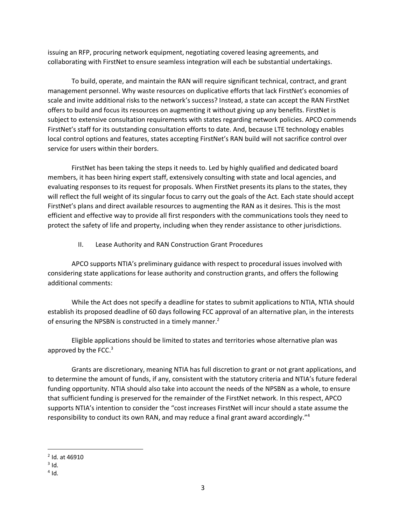issuing an RFP, procuring network equipment, negotiating covered leasing agreements, and collaborating with FirstNet to ensure seamless integration will each be substantial undertakings.

To build, operate, and maintain the RAN will require significant technical, contract, and grant management personnel. Why waste resources on duplicative efforts that lack FirstNet's economies of scale and invite additional risks to the network's success? Instead, a state can accept the RAN FirstNet offers to build and focus its resources on augmenting it without giving up any benefits. FirstNet is subject to extensive consultation requirements with states regarding network policies. APCO commends FirstNet's staff for its outstanding consultation efforts to date. And, because LTE technology enables local control options and features, states accepting FirstNet's RAN build will not sacrifice control over service for users within their borders.

FirstNet has been taking the steps it needs to. Led by highly qualified and dedicated board members, it has been hiring expert staff, extensively consulting with state and local agencies, and evaluating responses to its request for proposals. When FirstNet presents its plans to the states, they will reflect the full weight of its singular focus to carry out the goals of the Act. Each state should accept FirstNet's plans and direct available resources to augmenting the RAN as it desires. This is the most efficient and effective way to provide all first responders with the communications tools they need to protect the safety of life and property, including when they render assistance to other jurisdictions.

II. Lease Authority and RAN Construction Grant Procedures

APCO supports NTIA's preliminary guidance with respect to procedural issues involved with considering state applications for lease authority and construction grants, and offers the following additional comments:

While the Act does not specify a deadline for states to submit applications to NTIA, NTIA should establish its proposed deadline of 60 days following FCC approval of an alternative plan, in the interests of ensuring the NPSBN is constructed in a timely manner.<sup>2</sup>

Eligible applications should be limited to states and territories whose alternative plan was approved by the FCC. $3$ 

Grants are discretionary, meaning NTIA has full discretion to grant or not grant applications, and to determine the amount of funds, if any, consistent with the statutory criteria and NTIA's future federal funding opportunity. NTIA should also take into account the needs of the NPSBN as a whole, to ensure that sufficient funding is preserved for the remainder of the FirstNet network. In this respect, APCO supports NTIA's intention to consider the "cost increases FirstNet will incur should a state assume the responsibility to conduct its own RAN, and may reduce a final grant award accordingly."<sup>4</sup>

 $\overline{\phantom{a}}$ 

<sup>&</sup>lt;sup>2</sup> Id. at 46910

 $3$  Id.

 $4$  Id.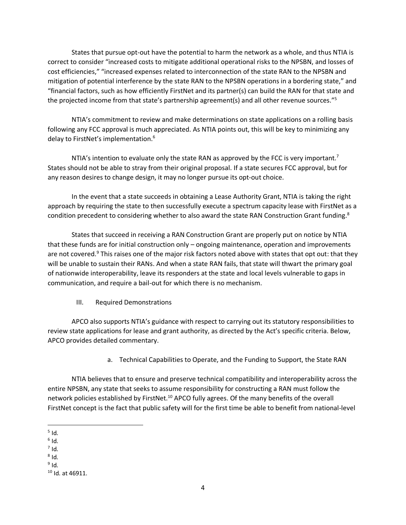States that pursue opt-out have the potential to harm the network as a whole, and thus NTIA is correct to consider "increased costs to mitigate additional operational risks to the NPSBN, and losses of cost efficiencies," "increased expenses related to interconnection of the state RAN to the NPSBN and mitigation of potential interference by the state RAN to the NPSBN operations in a bordering state," and "financial factors, such as how efficiently FirstNet and its partner(s) can build the RAN for that state and the projected income from that state's partnership agreement(s) and all other revenue sources."<sup>5</sup>

NTIA's commitment to review and make determinations on state applications on a rolling basis following any FCC approval is much appreciated. As NTIA points out, this will be key to minimizing any delay to FirstNet's implementation.<sup>6</sup>

NTIA's intention to evaluate only the state RAN as approved by the FCC is very important.<sup>7</sup> States should not be able to stray from their original proposal. If a state secures FCC approval, but for any reason desires to change design, it may no longer pursue its opt-out choice.

In the event that a state succeeds in obtaining a Lease Authority Grant, NTIA is taking the right approach by requiring the state to then successfully execute a spectrum capacity lease with FirstNet as a condition precedent to considering whether to also award the state RAN Construction Grant funding.<sup>8</sup>

States that succeed in receiving a RAN Construction Grant are properly put on notice by NTIA that these funds are for initial construction only – ongoing maintenance, operation and improvements are not covered.<sup>9</sup> This raises one of the major risk factors noted above with states that opt out: that they will be unable to sustain their RANs. And when a state RAN fails, that state will thwart the primary goal of nationwide interoperability, leave its responders at the state and local levels vulnerable to gaps in communication, and require a bail-out for which there is no mechanism.

III. Required Demonstrations

APCO also supports NTIA's guidance with respect to carrying out its statutory responsibilities to review state applications for lease and grant authority, as directed by the Act's specific criteria. Below, APCO provides detailed commentary.

a. Technical Capabilities to Operate, and the Funding to Support, the State RAN

NTIA believes that to ensure and preserve technical compatibility and interoperability across the entire NPSBN, any state that seeks to assume responsibility for constructing a RAN must follow the network policies established by FirstNet.<sup>10</sup> APCO fully agrees. Of the many benefits of the overall FirstNet concept is the fact that public safety will for the first time be able to benefit from national-level

- $\overline{a}$  $<sup>5</sup>$  Id.</sup>
- $^6$  Id.
- $^7$  Id.
- $^8$  Id.

 $^9$  Id.

 $10$  Id. at 46911.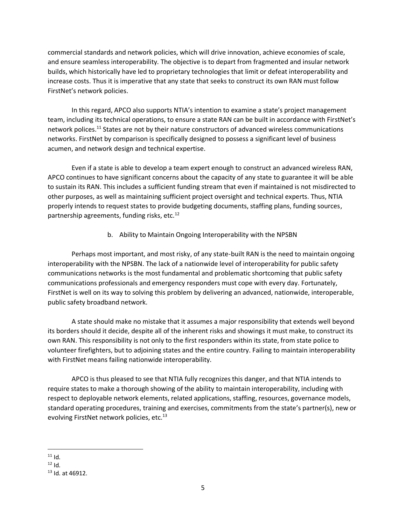commercial standards and network policies, which will drive innovation, achieve economies of scale, and ensure seamless interoperability. The objective is to depart from fragmented and insular network builds, which historically have led to proprietary technologies that limit or defeat interoperability and increase costs. Thus it is imperative that any state that seeks to construct its own RAN must follow FirstNet's network policies.

In this regard, APCO also supports NTIA's intention to examine a state's project management team, including its technical operations, to ensure a state RAN can be built in accordance with FirstNet's network polices.<sup>11</sup> States are not by their nature constructors of advanced wireless communications networks. FirstNet by comparison is specifically designed to possess a significant level of business acumen, and network design and technical expertise.

Even if a state is able to develop a team expert enough to construct an advanced wireless RAN, APCO continues to have significant concerns about the capacity of any state to guarantee it will be able to sustain its RAN. This includes a sufficient funding stream that even if maintained is not misdirected to other purposes, as well as maintaining sufficient project oversight and technical experts. Thus, NTIA properly intends to request states to provide budgeting documents, staffing plans, funding sources, partnership agreements, funding risks, etc.<sup>12</sup>

b. Ability to Maintain Ongoing Interoperability with the NPSBN

Perhaps most important, and most risky, of any state-built RAN is the need to maintain ongoing interoperability with the NPSBN. The lack of a nationwide level of interoperability for public safety communications networks is the most fundamental and problematic shortcoming that public safety communications professionals and emergency responders must cope with every day. Fortunately, FirstNet is well on its way to solving this problem by delivering an advanced, nationwide, interoperable, public safety broadband network.

A state should make no mistake that it assumes a major responsibility that extends well beyond its borders should it decide, despite all of the inherent risks and showings it must make, to construct its own RAN. This responsibility is not only to the first responders within its state, from state police to volunteer firefighters, but to adjoining states and the entire country. Failing to maintain interoperability with FirstNet means failing nationwide interoperability.

APCO is thus pleased to see that NTIA fully recognizes this danger, and that NTIA intends to require states to make a thorough showing of the ability to maintain interoperability, including with respect to deployable network elements, related applications, staffing, resources, governance models, standard operating procedures, training and exercises, commitments from the state's partner(s), new or evolving FirstNet network policies, etc.<sup>13</sup>

 $\overline{\phantom{a}}$  $11$  Id.

 $12$  Id.

 $13$  Id. at 46912.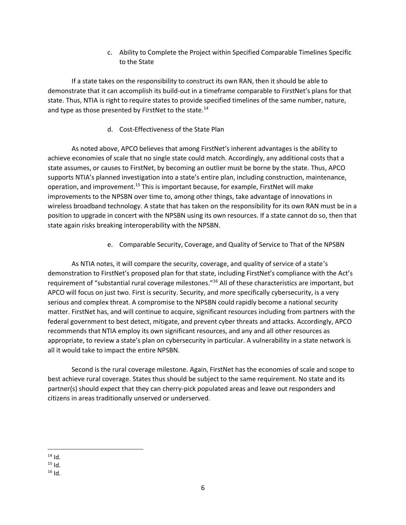c. Ability to Complete the Project within Specified Comparable Timelines Specific to the State

If a state takes on the responsibility to construct its own RAN, then it should be able to demonstrate that it can accomplish its build-out in a timeframe comparable to FirstNet's plans for that state. Thus, NTIA is right to require states to provide specified timelines of the same number, nature, and type as those presented by FirstNet to the state. $^{14}$ 

d. Cost-Effectiveness of the State Plan

As noted above, APCO believes that among FirstNet's inherent advantages is the ability to achieve economies of scale that no single state could match. Accordingly, any additional costs that a state assumes, or causes to FirstNet, by becoming an outlier must be borne by the state. Thus, APCO supports NTIA's planned investigation into a state's entire plan, including construction, maintenance, operation, and improvement.<sup>15</sup> This is important because, for example, FirstNet will make improvements to the NPSBN over time to, among other things, take advantage of innovations in wireless broadband technology. A state that has taken on the responsibility for its own RAN must be in a position to upgrade in concert with the NPSBN using its own resources. If a state cannot do so, then that state again risks breaking interoperability with the NPSBN.

e. Comparable Security, Coverage, and Quality of Service to That of the NPSBN

As NTIA notes, it will compare the security, coverage, and quality of service of a state's demonstration to FirstNet's proposed plan for that state, including FirstNet's compliance with the Act's requirement of "substantial rural coverage milestones."<sup>16</sup> All of these characteristics are important, but APCO will focus on just two. First is security. Security, and more specifically cybersecurity, is a very serious and complex threat. A compromise to the NPSBN could rapidly become a national security matter. FirstNet has, and will continue to acquire, significant resources including from partners with the federal government to best detect, mitigate, and prevent cyber threats and attacks. Accordingly, APCO recommends that NTIA employ its own significant resources, and any and all other resources as appropriate, to review a state's plan on cybersecurity in particular. A vulnerability in a state network is all it would take to impact the entire NPSBN.

Second is the rural coverage milestone. Again, FirstNet has the economies of scale and scope to best achieve rural coverage. States thus should be subject to the same requirement. No state and its partner(s) should expect that they can cherry-pick populated areas and leave out responders and citizens in areas traditionally unserved or underserved.

 $\overline{\phantom{a}}$  $14$  Id.

 $15$  Id.

 $16$  Id.